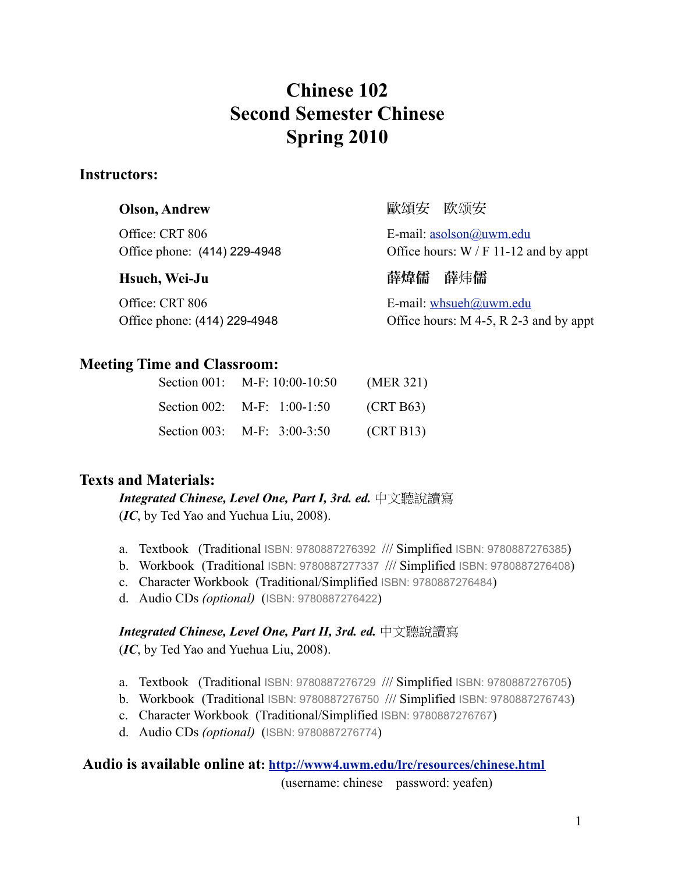# **Chinese 102 Second Semester Chinese Spring 2010**

## **Instructors:**

Office: CRT 806 E-mail: [asolson@uwm.edu](mailto:asolson@uwm.edu)

Office: CRT 806 E-mail: [whsueh@uwm.edu](mailto:whsueh@uwm.edu)

**Olson, Andrew インタイム マイン しゅうしょう めい** 歐頌安 欧颂安

Office phone:  $(414)$  229-4948 Office hours: W / F 11-12 and by appt

**Hsueh, Wei-Ju** 薛喭儒薛炜儒

Office phone: (414) 229-4948 Office hours: M 4-5, R 2-3 and by appt

# **Meeting Time and Classroom:**

| Section 001: M-F: 10:00-10:50  | (MER 321) |
|--------------------------------|-----------|
| Section 002: $M-F$ : 1:00-1:50 | (CRT B63) |
| Section 003: M-F: $3:00-3:50$  | (CRT B13) |

# **Texts and Materials:**

*Integrated Chinese, Level One, Part I, 3rd. ed.* 中文聽說讀寫 (*IC*, by Ted Yao and Yuehua Liu, 2008).

- a. Textbook (Traditional ISBN: 9780887276392 /// Simplified ISBN: 9780887276385)
- b. Workbook (Traditional ISBN: 9780887277337 /// Simplified ISBN: 9780887276408)
- c. Character Workbook (Traditional/Simplified ISBN: 9780887276484)
- d. Audio CDs *(optional)* (ISBN: 9780887276422)

## *Integrated Chinese, Level One, Part II, 3rd. ed.* 中文聽說讀寫

(*IC*, by Ted Yao and Yuehua Liu, 2008).

- a. Textbook (Traditional ISBN: 9780887276729 /// Simplified ISBN: 9780887276705)
- b. Workbook (Traditional ISBN: 9780887276750 /// Simplified ISBN: 9780887276743)
- c. Character Workbook (Traditional/Simplified ISBN: 9780887276767)
- d. Audio CDs *(optional)* (ISBN: 9780887276774)

# **Audio is available online at: <http://www4.uwm.edu/lrc/resources/chinese.html>**

(username: chinese password: yeafen)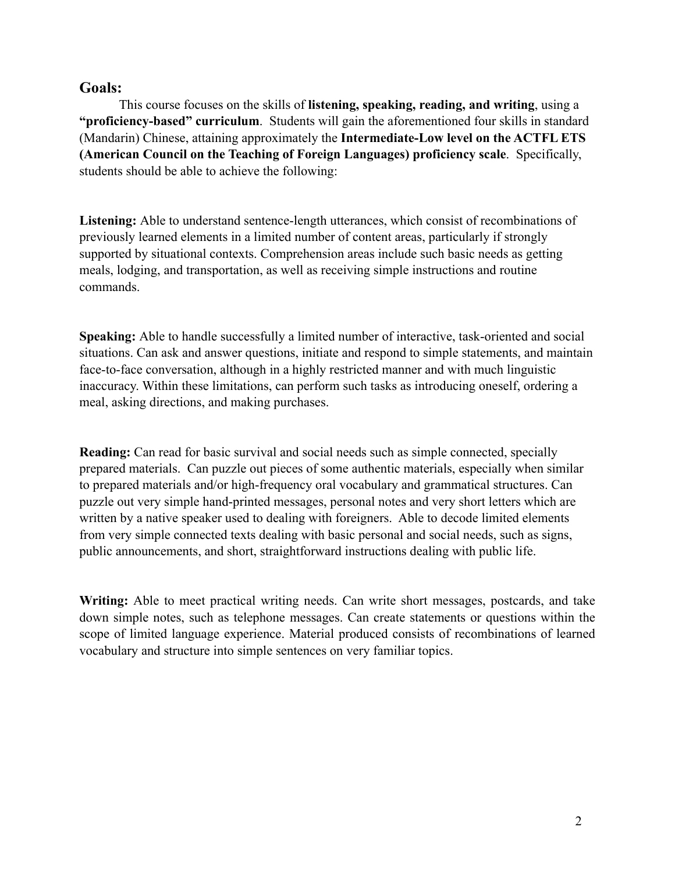### **Goals:**

This course focuses on the skills of **listening, speaking, reading, and writing**, using a **"proficiency-based" curriculum**. Students will gain the aforementioned four skills in standard (Mandarin) Chinese, attaining approximately the **Intermediate-Low level on the ACTFL ETS (American Council on the Teaching of Foreign Languages) proficiency scale**. Specifically, students should be able to achieve the following:

**Listening:** Able to understand sentence-length utterances, which consist of recombinations of previously learned elements in a limited number of content areas, particularly if strongly supported by situational contexts. Comprehension areas include such basic needs as getting meals, lodging, and transportation, as well as receiving simple instructions and routine commands.

**Speaking:** Able to handle successfully a limited number of interactive, task-oriented and social situations. Can ask and answer questions, initiate and respond to simple statements, and maintain face-to-face conversation, although in a highly restricted manner and with much linguistic inaccuracy. Within these limitations, can perform such tasks as introducing oneself, ordering a meal, asking directions, and making purchases.

**Reading:** Can read for basic survival and social needs such as simple connected, specially prepared materials. Can puzzle out pieces of some authentic materials, especially when similar to prepared materials and/or high-frequency oral vocabulary and grammatical structures. Can puzzle out very simple hand-printed messages, personal notes and very short letters which are written by a native speaker used to dealing with foreigners. Able to decode limited elements from very simple connected texts dealing with basic personal and social needs, such as signs, public announcements, and short, straightforward instructions dealing with public life.

Writing: Able to meet practical writing needs. Can write short messages, postcards, and take down simple notes, such as telephone messages. Can create statements or questions within the scope of limited language experience. Material produced consists of recombinations of learned vocabulary and structure into simple sentences on very familiar topics.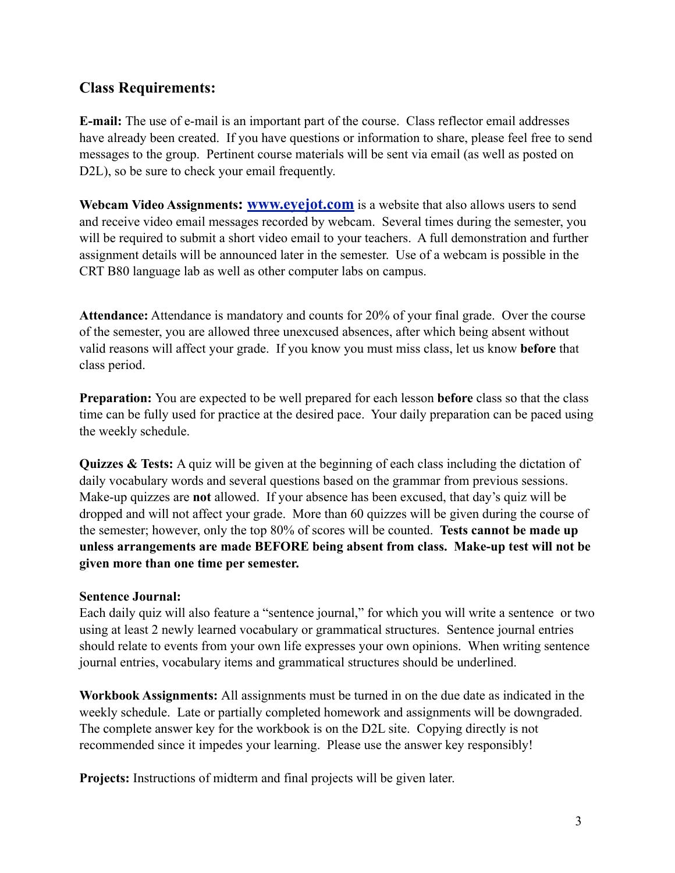# **Class Requirements:**

**E-mail:** The use of e-mail is an important part of the course. Class reflector email addresses have already been created. If you have questions or information to share, please feel free to send messages to the group. Pertinent course materials will be sent via email (as well as posted on D<sub>2</sub>L), so be sure to check your email frequently.

**Webcam Video Assignments: [www.eyejot.com](http://www.tokbox.com)** is a website that also allows users to send and receive video email messages recorded by webcam. Several times during the semester, you will be required to submit a short video email to your teachers. A full demonstration and further assignment details will be announced later in the semester. Use of a webcam is possible in the CRT B80 language lab as well as other computer labs on campus.

**Attendance:** Attendance is mandatory and counts for 20% of your final grade. Over the course of the semester, you are allowed three unexcused absences, after which being absent without valid reasons will affect your grade. If you know you must miss class, let us know **before** that class period.

**Preparation:** You are expected to be well prepared for each lesson **before** class so that the class time can be fully used for practice at the desired pace. Your daily preparation can be paced using the weekly schedule.

**Quizzes & Tests:** A quiz will be given at the beginning of each class including the dictation of daily vocabulary words and several questions based on the grammar from previous sessions. Make-up quizzes are **not** allowed. If your absence has been excused, that day's quiz will be dropped and will not affect your grade. More than 60 quizzes will be given during the course of the semester; however, only the top 80% of scores will be counted. **Tests cannot be made up unless arrangements are made BEFORE being absent from class. Make-up test will not be given more than one time per semester.** 

### **Sentence Journal:**

Each daily quiz will also feature a "sentence journal," for which you will write a sentence or two using at least 2 newly learned vocabulary or grammatical structures. Sentence journal entries should relate to events from your own life expresses your own opinions. When writing sentence journal entries, vocabulary items and grammatical structures should be underlined.

**Workbook Assignments:** All assignments must be turned in on the due date as indicated in the weekly schedule. Late or partially completed homework and assignments will be downgraded. The complete answer key for the workbook is on the D2L site. Copying directly is not recommended since it impedes your learning. Please use the answer key responsibly!

**Projects:** Instructions of midterm and final projects will be given later.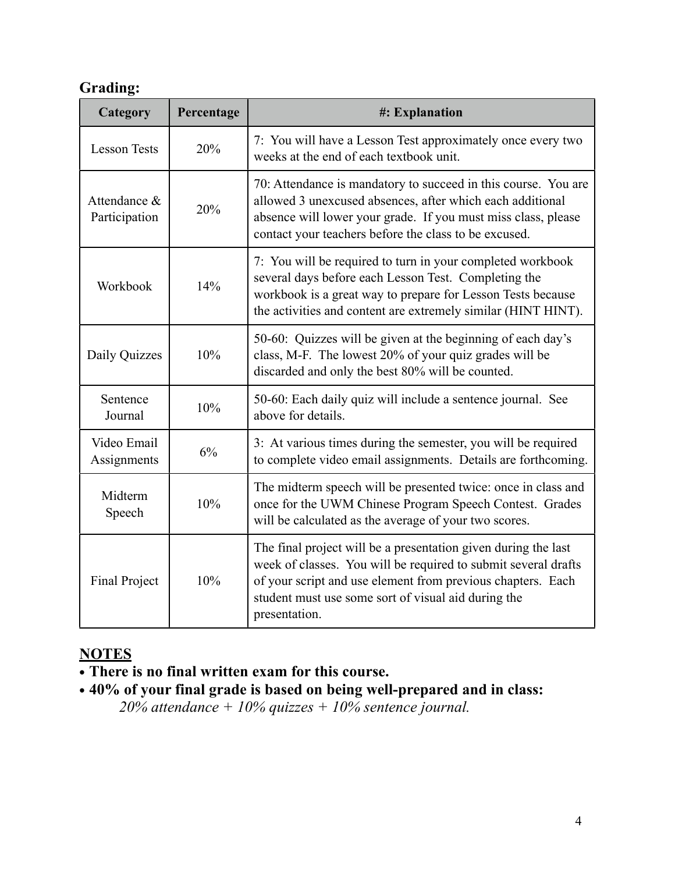# **Grading:**

| Category                      | Percentage | #: Explanation                                                                                                                                                                                                                                                          |  |
|-------------------------------|------------|-------------------------------------------------------------------------------------------------------------------------------------------------------------------------------------------------------------------------------------------------------------------------|--|
| <b>Lesson Tests</b>           | 20%        | 7: You will have a Lesson Test approximately once every two<br>weeks at the end of each textbook unit.                                                                                                                                                                  |  |
| Attendance &<br>Participation | 20%        | 70: Attendance is mandatory to succeed in this course. You are<br>allowed 3 unexcused absences, after which each additional<br>absence will lower your grade. If you must miss class, please<br>contact your teachers before the class to be excused.                   |  |
| Workbook                      | 14%        | 7: You will be required to turn in your completed workbook<br>several days before each Lesson Test. Completing the<br>workbook is a great way to prepare for Lesson Tests because<br>the activities and content are extremely similar (HINT HINT).                      |  |
| Daily Quizzes                 | 10%        | 50-60: Quizzes will be given at the beginning of each day's<br>class, M-F. The lowest 20% of your quiz grades will be<br>discarded and only the best 80% will be counted.                                                                                               |  |
| Sentence<br>Journal           | 10%        | 50-60: Each daily quiz will include a sentence journal. See<br>above for details.                                                                                                                                                                                       |  |
| Video Email<br>Assignments    | 6%         | 3: At various times during the semester, you will be required<br>to complete video email assignments. Details are forthcoming.                                                                                                                                          |  |
| Midterm<br>Speech             | 10%        | The midterm speech will be presented twice: once in class and<br>once for the UWM Chinese Program Speech Contest. Grades<br>will be calculated as the average of your two scores.                                                                                       |  |
| <b>Final Project</b>          | 10%        | The final project will be a presentation given during the last<br>week of classes. You will be required to submit several drafts<br>of your script and use element from previous chapters. Each<br>student must use some sort of visual aid during the<br>presentation. |  |

# **NOTES**

- **• There is no final written exam for this course.**
- **• 40% of your final grade is based on being well-prepared and in class:**  *20% attendance + 10% quizzes + 10% sentence journal.*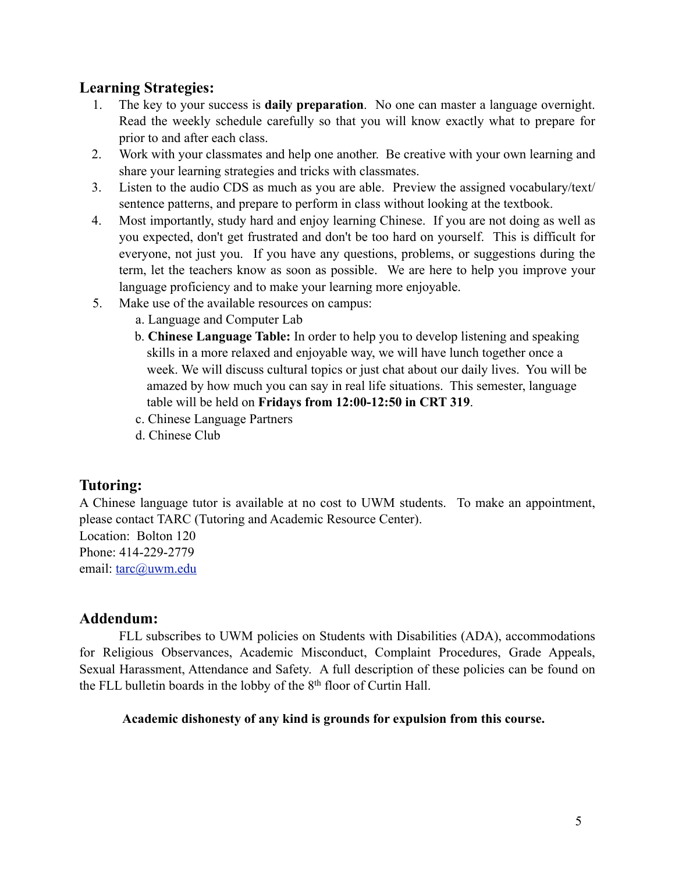# **Learning Strategies:**

- 1. The key to your success is **daily preparation**. No one can master a language overnight. Read the weekly schedule carefully so that you will know exactly what to prepare for prior to and after each class.
- 2. Work with your classmates and help one another. Be creative with your own learning and share your learning strategies and tricks with classmates.
- 3. Listen to the audio CDS as much as you are able. Preview the assigned vocabulary/text/ sentence patterns, and prepare to perform in class without looking at the textbook.
- 4. Most importantly, study hard and enjoy learning Chinese. If you are not doing as well as you expected, don't get frustrated and don't be too hard on yourself. This is difficult for everyone, not just you. If you have any questions, problems, or suggestions during the term, let the teachers know as soon as possible. We are here to help you improve your language proficiency and to make your learning more enjoyable.
- 5. Make use of the available resources on campus:
	- a. Language and Computer Lab
	- b. **Chinese Language Table:** In order to help you to develop listening and speaking skills in a more relaxed and enjoyable way, we will have lunch together once a week. We will discuss cultural topics or just chat about our daily lives. You will be amazed by how much you can say in real life situations. This semester, language table will be held on **Fridays from 12:00-12:50 in CRT 319**.
	- c. Chinese Language Partners
	- d. Chinese Club

# **Tutoring:**

A Chinese language tutor is available at no cost to UWM students. To make an appointment, please contact TARC (Tutoring and Academic Resource Center).

Location: Bolton 120 Phone: 414-229-2779 email: [tarc@uwm.edu](mailto:tarc@uwm.edu)

## **Addendum:**

 FLL subscribes to UWM policies on Students with Disabilities (ADA), accommodations for Religious Observances, Academic Misconduct, Complaint Procedures, Grade Appeals, Sexual Harassment, Attendance and Safety. A full description of these policies can be found on the FLL bulletin boards in the lobby of the 8th floor of Curtin Hall.

### **Academic dishonesty of any kind is grounds for expulsion from this course.**